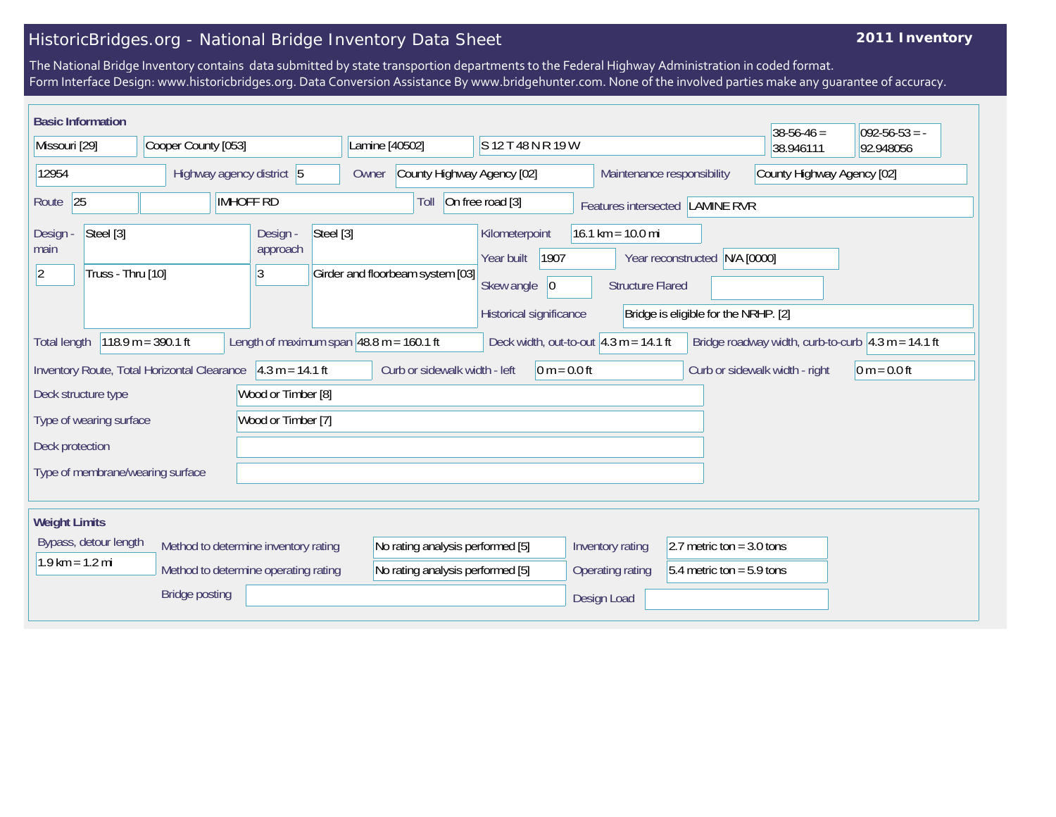## HistoricBridges.org - National Bridge Inventory Data Sheet

## **2011 Inventory**

The National Bridge Inventory contains data submitted by state transportion departments to the Federal Highway Administration in coded format. Form Interface Design: www.historicbridges.org. Data Conversion Assistance By www.bridgehunter.com. None of the involved parties make any guarantee of accuracy.

| <b>Basic Information</b><br>$38-56-46 =$<br>$092 - 56 - 53 = -$                                                                                                                                                                                       |  |                           |  |                                                             |                                  |                            |                                  |                    |                                                                                                                                                                                                                 |                             |                             |                            |  |  |
|-------------------------------------------------------------------------------------------------------------------------------------------------------------------------------------------------------------------------------------------------------|--|---------------------------|--|-------------------------------------------------------------|----------------------------------|----------------------------|----------------------------------|--------------------|-----------------------------------------------------------------------------------------------------------------------------------------------------------------------------------------------------------------|-----------------------------|-----------------------------|----------------------------|--|--|
| Missouri [29]                                                                                                                                                                                                                                         |  | Cooper County [053]       |  |                                                             | Lamine [40502]                   |                            |                                  | S 12 T 48 N R 19 W |                                                                                                                                                                                                                 |                             | 38.946111                   | 92.948056                  |  |  |
| 12954                                                                                                                                                                                                                                                 |  | Highway agency district 5 |  |                                                             | Owner                            | County Highway Agency [02] |                                  |                    | Maintenance responsibility                                                                                                                                                                                      |                             |                             | County Highway Agency [02] |  |  |
| 25<br><b>IMHOFF RD</b><br>Route                                                                                                                                                                                                                       |  |                           |  | On free road [3]<br>Toll<br>Features intersected LAMINE RVR |                                  |                            |                                  |                    |                                                                                                                                                                                                                 |                             |                             |                            |  |  |
| Steel [3]<br>Design -<br>main<br>Truss - Thru [10]<br>$ 2\rangle$                                                                                                                                                                                     |  |                           |  | Design -<br>approach<br>3                                   | Steel [3]                        |                            | Girder and floorbeam system [03] |                    | Kilometerpoint<br>16.1 km = $10.0$ mi<br>1907<br>Year reconstructed N/A [0000]<br>Year built<br>Skew angle<br> 0 <br><b>Structure Flared</b><br>Historical significance<br>Bridge is eligible for the NRHP. [2] |                             |                             |                            |  |  |
| Length of maximum span $ 48.8 \text{ m} = 160.1 \text{ ft}$<br>$118.9 m = 390.1 ft$<br>Deck width, out-to-out $ 4.3 \text{ m} = 14.1 \text{ ft}$<br>Bridge roadway width, curb-to-curb $\vert 4.3 \text{ m} = 14.1 \text{ ft}$<br><b>Total length</b> |  |                           |  |                                                             |                                  |                            |                                  |                    |                                                                                                                                                                                                                 |                             |                             |                            |  |  |
| $4.3 m = 14.1 ft$<br>Inventory Route, Total Horizontal Clearance                                                                                                                                                                                      |  |                           |  | Curb or sidewalk width - left<br>$ 0 m = 0.0 ft$            |                                  |                            |                                  |                    | Curb or sidewalk width - right                                                                                                                                                                                  | $ 0 m = 0.0 ft$             |                             |                            |  |  |
| Wood or Timber [8]<br>Deck structure type                                                                                                                                                                                                             |  |                           |  |                                                             |                                  |                            |                                  |                    |                                                                                                                                                                                                                 |                             |                             |                            |  |  |
| Wood or Timber [7]<br>Type of wearing surface                                                                                                                                                                                                         |  |                           |  |                                                             |                                  |                            |                                  |                    |                                                                                                                                                                                                                 |                             |                             |                            |  |  |
| Deck protection                                                                                                                                                                                                                                       |  |                           |  |                                                             |                                  |                            |                                  |                    |                                                                                                                                                                                                                 |                             |                             |                            |  |  |
| Type of membrane/wearing surface                                                                                                                                                                                                                      |  |                           |  |                                                             |                                  |                            |                                  |                    |                                                                                                                                                                                                                 |                             |                             |                            |  |  |
| <b>Weight Limits</b>                                                                                                                                                                                                                                  |  |                           |  |                                                             |                                  |                            |                                  |                    |                                                                                                                                                                                                                 |                             |                             |                            |  |  |
| Bypass, detour length<br>Method to determine inventory rating<br>$1.9$ km = $1.2$ mi<br>Method to determine operating rating<br><b>Bridge posting</b>                                                                                                 |  |                           |  |                                                             | No rating analysis performed [5] |                            |                                  |                    | Inventory rating                                                                                                                                                                                                |                             | 2.7 metric ton = $3.0$ tons |                            |  |  |
|                                                                                                                                                                                                                                                       |  |                           |  | No rating analysis performed [5]                            |                                  |                            |                                  | Operating rating   |                                                                                                                                                                                                                 | $5.4$ metric ton = 5.9 tons |                             |                            |  |  |
|                                                                                                                                                                                                                                                       |  |                           |  |                                                             |                                  |                            |                                  | Design Load        |                                                                                                                                                                                                                 |                             |                             |                            |  |  |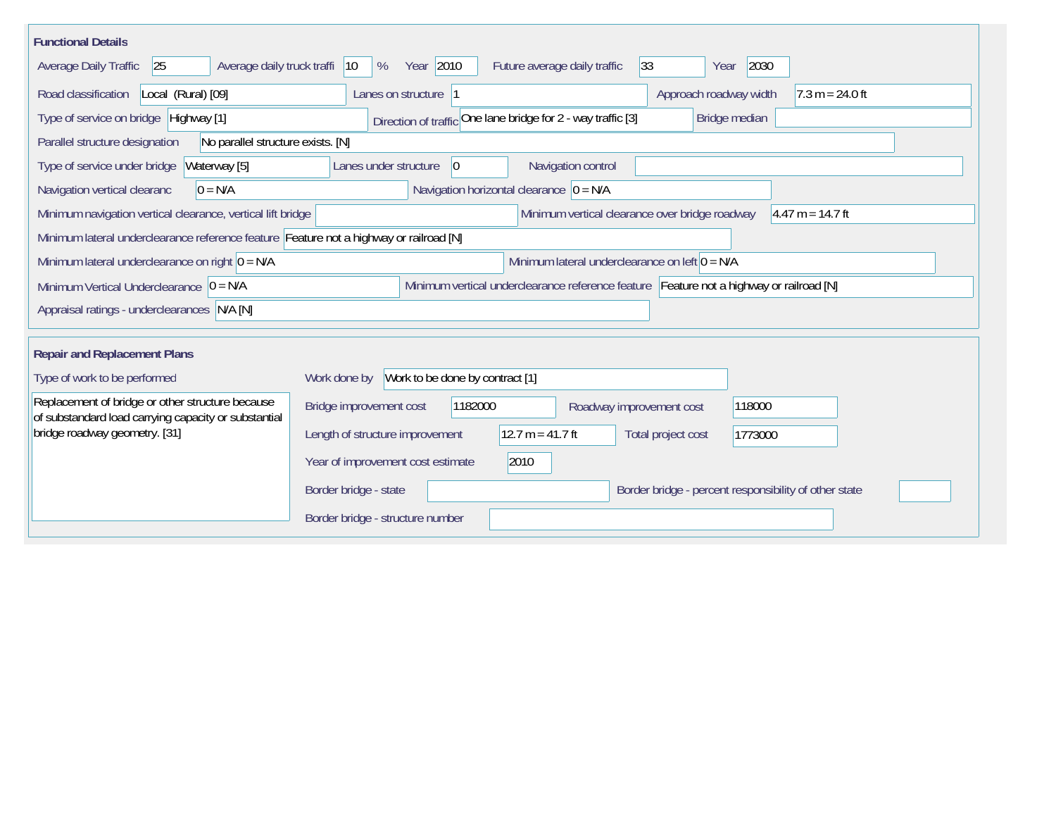| <b>Functional Details</b>                                                                                                             |                                                                                                |  |  |  |  |  |
|---------------------------------------------------------------------------------------------------------------------------------------|------------------------------------------------------------------------------------------------|--|--|--|--|--|
| Average daily truck traffi<br>Average Daily Traffic<br>25                                                                             | Year 2010<br>2030<br>$ 33\rangle$<br>$ 10\rangle$<br>%<br>Future average daily traffic<br>Year |  |  |  |  |  |
| Road classification<br>Local (Rural) [09]                                                                                             | Approach roadway width<br>$7.3 m = 24.0 ft$<br>Lanes on structure 1                            |  |  |  |  |  |
| Type of service on bridge Highway [1]                                                                                                 | Direction of traffic One lane bridge for 2 - way traffic [3]<br>Bridge median                  |  |  |  |  |  |
| No parallel structure exists. [N]<br>Parallel structure designation                                                                   |                                                                                                |  |  |  |  |  |
| Type of service under bridge<br>Waterway [5]                                                                                          | Navigation control<br>$ 0\rangle$<br>Lanes under structure                                     |  |  |  |  |  |
| $0 = N/A$<br>Navigation vertical clearanc                                                                                             | Navigation horizontal clearance $ 0 = N/A$                                                     |  |  |  |  |  |
| Minimum vertical clearance over bridge roadway<br>$4.47 m = 14.7 ft$<br>Minimum navigation vertical clearance, vertical lift bridge   |                                                                                                |  |  |  |  |  |
| Minimum lateral underclearance reference feature Feature not a highway or railroad [N]                                                |                                                                                                |  |  |  |  |  |
| Minimum lateral underclearance on right $0 = N/A$                                                                                     | Minimum lateral underclearance on left $0 = N/A$                                               |  |  |  |  |  |
| Minimum vertical underclearance reference feature Feature not a highway or railroad [N]<br>Minimum Vertical Underclearance $ 0 = N/A$ |                                                                                                |  |  |  |  |  |
| Appraisal ratings - underclearances N/A [N]                                                                                           |                                                                                                |  |  |  |  |  |
|                                                                                                                                       |                                                                                                |  |  |  |  |  |
| <b>Repair and Replacement Plans</b>                                                                                                   |                                                                                                |  |  |  |  |  |
| Type of work to be performed                                                                                                          | Work to be done by contract [1]<br>Work done by                                                |  |  |  |  |  |
| Replacement of bridge or other structure because<br>of substandard load carrying capacity or substantial                              | Bridge improvement cost<br>1182000<br>118000<br>Roadway improvement cost                       |  |  |  |  |  |
| bridge roadway geometry. [31]                                                                                                         | $12.7 m = 41.7 ft$<br>Length of structure improvement<br>Total project cost<br>1773000         |  |  |  |  |  |
|                                                                                                                                       | Year of improvement cost estimate<br>2010                                                      |  |  |  |  |  |
|                                                                                                                                       | Border bridge - state<br>Border bridge - percent responsibility of other state                 |  |  |  |  |  |
|                                                                                                                                       | Border bridge - structure number                                                               |  |  |  |  |  |